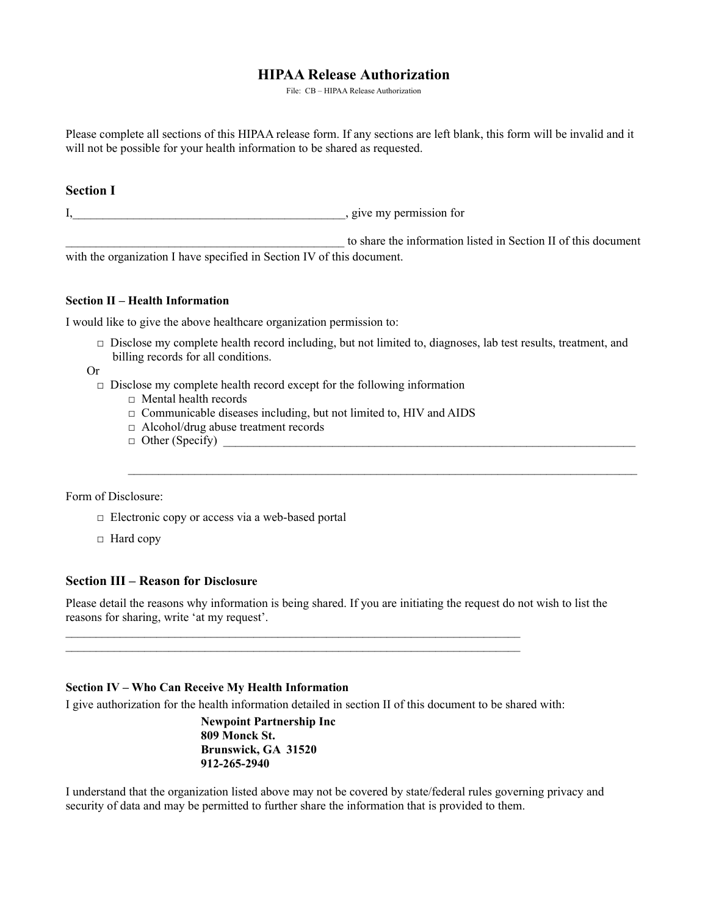# **HIPAA Release Authorization**

File: CB – HIPAA Release Authorization

Please complete all sections of this HIPAA release form. If any sections are left blank, this form will be invalid and it will not be possible for your health information to be shared as requested.

# **Section I**

I, the contract of the contract of the contract of the contract of the contract of the contract of the contract of the contract of the contract of the contract of the contract of the contract of the contract of the contrac

to share the information listed in Section II of this document with the organization I have specified in Section IV of this document.

## **Section II – Health Information**

I would like to give the above healthcare organization permission to:

□ Disclose my complete health record including, but not limited to, diagnoses, lab test results, treatment, and billing records for all conditions.

 $\mathcal{L}_\text{max}$ 

Or

- $\Box$  Disclose my complete health record except for the following information
	- □ Mental health records
	- □ Communicable diseases including, but not limited to, HIV and AIDS
	- □ Alcohol/drug abuse treatment records
	- $\Box$  Other (Specify)

#### Form of Disclosure:

- $\Box$  Electronic copy or access via a web-based portal
- □ Hard copy

# **Section III – Reason for Disclosure**

Please detail the reasons why information is being shared. If you are initiating the request do not wish to list the reasons for sharing, write 'at my request'.

#### **Section IV – Who Can Receive My Health Information**

I give authorization for the health information detailed in section II of this document to be shared with:

 $\mathcal{L}_\text{max}$  $\mathcal{L}_\text{max}$ 

> **Newpoint Partnership Inc 809 Monck St. Brunswick, GA 31520 912-265-2940**

I understand that the organization listed above may not be covered by state/federal rules governing privacy and security of data and may be permitted to further share the information that is provided to them.